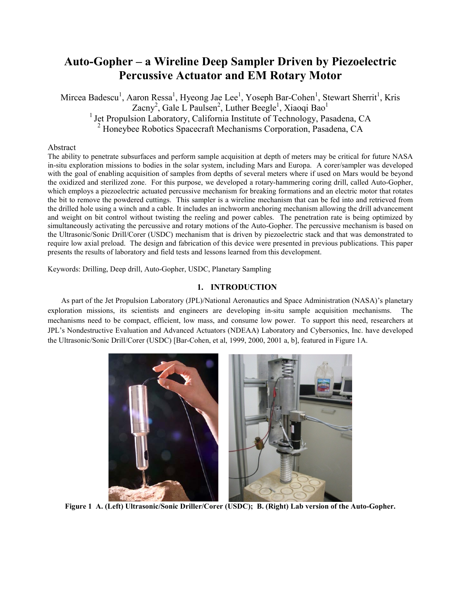# **Auto-Gopher – a Wireline Deep Sampler Driven by Piezoelectric Percussive Actuator and EM Rotary Motor**

Mircea Badescu<sup>1</sup>, Aaron Ressa<sup>1</sup>, Hyeong Jae Lee<sup>1</sup>, Yoseph Bar-Cohen<sup>1</sup>, Stewart Sherrit<sup>1</sup>, Kris Zacny<sup>2</sup>, Gale L Paulsen<sup>2</sup>, Luther Beegle<sup>1</sup>, Xiaoqi Bao<sup>1</sup> <sup>1</sup> Jet Propulsion Laboratory, California Institute of Technology, Pasadena, CA<br><sup>2</sup> Honeybee Robotics Spacecraft Mechanisms Corporation, Pasadena, CA

## Abstract

The ability to penetrate subsurfaces and perform sample acquisition at depth of meters may be critical for future NASA in-situ exploration missions to bodies in the solar system, including Mars and Europa. A corer/sampler was developed with the goal of enabling acquisition of samples from depths of several meters where if used on Mars would be beyond the oxidized and sterilized zone. For this purpose, we developed a rotary-hammering coring drill, called Auto-Gopher, which employs a piezoelectric actuated percussive mechanism for breaking formations and an electric motor that rotates the bit to remove the powdered cuttings. This sampler is a wireline mechanism that can be fed into and retrieved from the drilled hole using a winch and a cable. It includes an inchworm anchoring mechanism allowing the drill advancement and weight on bit control without twisting the reeling and power cables. The penetration rate is being optimized by simultaneously activating the percussive and rotary motions of the Auto-Gopher. The percussive mechanism is based on the Ultrasonic/Sonic Drill/Corer (USDC) mechanism that is driven by piezoelectric stack and that was demonstrated to require low axial preload. The design and fabrication of this device were presented in previous publications. This paper presents the results of laboratory and field tests and lessons learned from this development.

Keywords: Drilling, Deep drill, Auto-Gopher, USDC, Planetary Sampling

# **1. INTRODUCTION**

As part of the Jet Propulsion Laboratory (JPL)/National Aeronautics and Space Administration (NASA)'s planetary exploration missions, its scientists and engineers are developing in-situ sample acquisition mechanisms. The mechanisms need to be compact, efficient, low mass, and consume low power. To support this need, researchers at JPL's Nondestructive Evaluation and Advanced Actuators (NDEAA) Laboratory and Cybersonics, Inc. have developed the Ultrasonic/Sonic Drill/Corer (USDC) [Bar-Cohen, et al, 1999, 2000, 2001 a, b], featured in Figure 1A.



**Figure 1 A. (Left) Ultrasonic/Sonic Driller/Corer (USDC); B. (Right) Lab version of the Auto-Gopher.**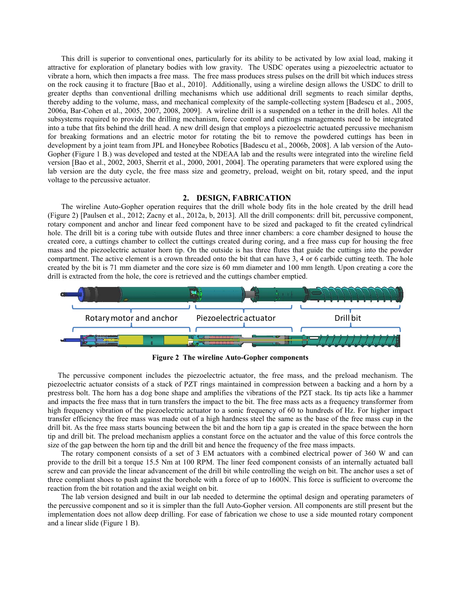This drill is superior to conventional ones, particularly for its ability to be activated by low axial load, making it attractive for exploration of planetary bodies with low gravity. The USDC operates using a piezoelectric actuator to vibrate a horn, which then impacts a free mass. The free mass produces stress pulses on the drill bit which induces stress on the rock causing it to fracture [Bao et al., 2010]. Additionally, using a wireline design allows the USDC to drill to greater depths than conventional drilling mechanisms which use additional drill segments to reach similar depths, thereby adding to the volume, mass, and mechanical complexity of the sample-collecting system [Badescu et al., 2005, 2006a, Bar-Cohen et al., 2005, 2007, 2008, 2009]. A wireline drill is a suspended on a tether in the drill holes. All the subsystems required to provide the drilling mechanism, force control and cuttings managements need to be integrated into a tube that fits behind the drill head. A new drill design that employs a piezoelectric actuated percussive mechanism for breaking formations and an electric motor for rotating the bit to remove the powdered cuttings has been in development by a joint team from JPL and Honeybee Robotics [Badescu et al., 2006b, 2008]. A lab version of the Auto-Gopher (Figure 1 B.) was developed and tested at the NDEAA lab and the results were integrated into the wireline field version [Bao et al., 2002, 2003, Sherrit et al., 2000, 2001, 2004]. The operating parameters that were explored using the lab version are the duty cycle, the free mass size and geometry, preload, weight on bit, rotary speed, and the input voltage to the percussive actuator.

## **2. DESIGN, FABRICATION**

The wireline Auto-Gopher operation requires that the drill whole body fits in the hole created by the drill head (Figure 2) [Paulsen et al., 2012; Zacny et al., 2012a, b, 2013]. All the drill components: drill bit, percussive component, rotary component and anchor and linear feed component have to be sized and packaged to fit the created cylindrical hole. The drill bit is a coring tube with outside flutes and three inner chambers: a core chamber designed to house the created core, a cuttings chamber to collect the cuttings created during coring, and a free mass cup for housing the free mass and the piezoelectric actuator horn tip. On the outside is has three flutes that guide the cuttings into the powder compartment. The active element is a crown threaded onto the bit that can have 3, 4 or 6 carbide cutting teeth. The hole created by the bit is 71 mm diameter and the core size is 60 mm diameter and 100 mm length. Upon creating a core the drill is extracted from the hole, the core is retrieved and the cuttings chamber emptied.



**Figure 2 The wireline Auto-Gopher components**

The percussive component includes the piezoelectric actuator, the free mass, and the preload mechanism. The piezoelectric actuator consists of a stack of PZT rings maintained in compression between a backing and a horn by a prestress bolt. The horn has a dog bone shape and amplifies the vibrations of the PZT stack. Its tip acts like a hammer and impacts the free mass that in turn transfers the impact to the bit. The free mass acts as a frequency transformer from high frequency vibration of the piezoelectric actuator to a sonic frequency of 60 to hundreds of Hz. For higher impact transfer efficiency the free mass was made out of a high hardness steel the same as the base of the free mass cup in the drill bit. As the free mass starts bouncing between the bit and the horn tip a gap is created in the space between the horn tip and drill bit. The preload mechanism applies a constant force on the actuator and the value of this force controls the size of the gap between the horn tip and the drill bit and hence the frequency of the free mass impacts.

The rotary component consists of a set of 3 EM actuators with a combined electrical power of 360 W and can provide to the drill bit a torque 15.5 Nm at 100 RPM. The liner feed component consists of an internally actuated ball screw and can provide the linear advancement of the drill bit while controlling the weigh on bit. The anchor uses a set of three compliant shoes to push against the borehole with a force of up to 1600N. This force is sufficient to overcome the reaction from the bit rotation and the axial weight on bit.

The lab version designed and built in our lab needed to determine the optimal design and operating parameters of the percussive component and so it is simpler than the full Auto-Gopher version. All components are still present but the implementation does not allow deep drilling. For ease of fabrication we chose to use a side mounted rotary component and a linear slide (Figure 1 B).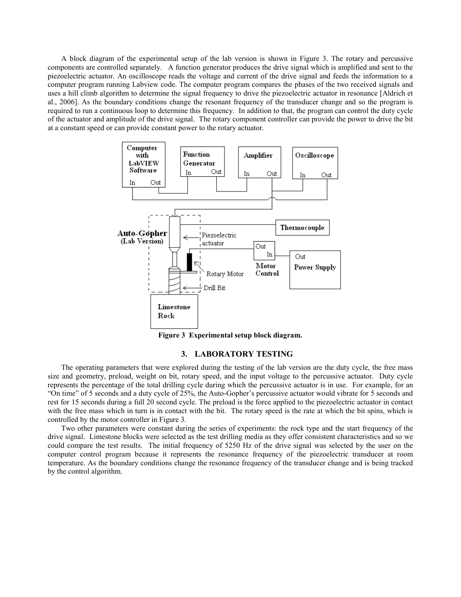A block diagram of the experimental setup of the lab version is shown in Figure 3. The rotary and percussive components are controlled separately. A function generator produces the drive signal which is amplified and sent to the piezoelectric actuator. An oscilloscope reads the voltage and current of the drive signal and feeds the information to a computer program running Labview code. The computer program compares the phases of the two received signals and uses a hill climb algorithm to determine the signal frequency to drive the piezoelectric actuator in resonance [Aldrich et al., 2006]. As the boundary conditions change the resonant frequency of the transducer change and so the program is required to run a continuous loop to determine this frequency. In addition to that, the program can control the duty cycle of the actuator and amplitude of the drive signal. The rotary component controller can provide the power to drive the bit at a constant speed or can provide constant power to the rotary actuator.



**Figure 3 Experimental setup block diagram.** 

## **3. LABORATORY TESTING**

The operating parameters that were explored during the testing of the lab version are the duty cycle, the free mass size and geometry, preload, weight on bit, rotary speed, and the input voltage to the percussive actuator. Duty cycle represents the percentage of the total drilling cycle during which the percussive actuator is in use. For example, for an "On time" of 5 seconds and a duty cycle of 25%, the Auto-Gopher's percussive actuator would vibrate for 5 seconds and rest for 15 seconds during a full 20 second cycle. The preload is the force applied to the piezoelectric actuator in contact with the free mass which in turn is in contact with the bit. The rotary speed is the rate at which the bit spins, which is controlled by the motor controller in Figure 3.

Two other parameters were constant during the series of experiments: the rock type and the start frequency of the drive signal. Limestone blocks were selected as the test drilling media as they offer consistent characteristics and so we could compare the test results. The initial frequency of 5250 Hz of the drive signal was selected by the user on the computer control program because it represents the resonance frequency of the piezoelectric transducer at room temperature. As the boundary conditions change the resonance frequency of the transducer change and is being tracked by the control algorithm.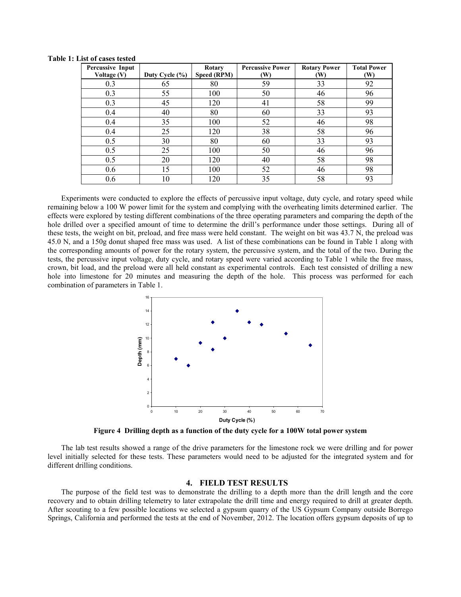| Percussive Input<br>Voltage (V) | Duty Cycle (%) | Rotary<br>Speed (RPM) | <b>Percussive Power</b><br>(W) | <b>Rotary Power</b><br>(W) | <b>Total Power</b><br>(W) |
|---------------------------------|----------------|-----------------------|--------------------------------|----------------------------|---------------------------|
| 0.3                             | 65             | 80                    | 59                             | 33                         | 92                        |
| 0.3                             | 55             | 100                   | 50                             | 46                         | 96                        |
| 0.3                             | 45             | 120                   | 41                             | 58                         | 99                        |
| 0.4                             | 40             | 80                    | 60                             | 33                         | 93                        |
| 0.4                             | 35             | 100                   | 52                             | 46                         | 98                        |
| 0.4                             | 25             | 120                   | 38                             | 58                         | 96                        |
| 0.5                             | 30             | 80                    | 60                             | 33                         | 93                        |
| 0.5                             | 25             | 100                   | 50                             | 46                         | 96                        |
| 0.5                             | 20             | 120                   | 40                             | 58                         | 98                        |
| 0.6                             | 15             | 100                   | 52                             | 46                         | 98                        |
| 0.6                             | 10             | 120                   | 35                             | 58                         | 93                        |

**Table 1: List of cases tested** 

Experiments were conducted to explore the effects of percussive input voltage, duty cycle, and rotary speed while remaining below a 100 W power limit for the system and complying with the overheating limits determined earlier. The effects were explored by testing different combinations of the three operating parameters and comparing the depth of the hole drilled over a specified amount of time to determine the drill's performance under those settings. During all of these tests, the weight on bit, preload, and free mass were held constant. The weight on bit was 43.7 N, the preload was 45.0 N, and a 150g donut shaped free mass was used. A list of these combinations can be found in Table 1 along with the corresponding amounts of power for the rotary system, the percussive system, and the total of the two. During the tests, the percussive input voltage, duty cycle, and rotary speed were varied according to Table 1 while the free mass, crown, bit load, and the preload were all held constant as experimental controls. Each test consisted of drilling a new hole into limestone for 20 minutes and measuring the depth of the hole. This process was performed for each combination of parameters in Table 1.



**Figure 4 Drilling depth as a function of the duty cycle for a 100W total power system**

The lab test results showed a range of the drive parameters for the limestone rock we were drilling and for power level initially selected for these tests. These parameters would need to be adjusted for the integrated system and for different drilling conditions.

## **4. FIELD TEST RESULTS**

The purpose of the field test was to demonstrate the drilling to a depth more than the drill length and the core recovery and to obtain drilling telemetry to later extrapolate the drill time and energy required to drill at greater depth. After scouting to a few possible locations we selected a gypsum quarry of the US Gypsum Company outside Borrego Springs, California and performed the tests at the end of November, 2012. The location offers gypsum deposits of up to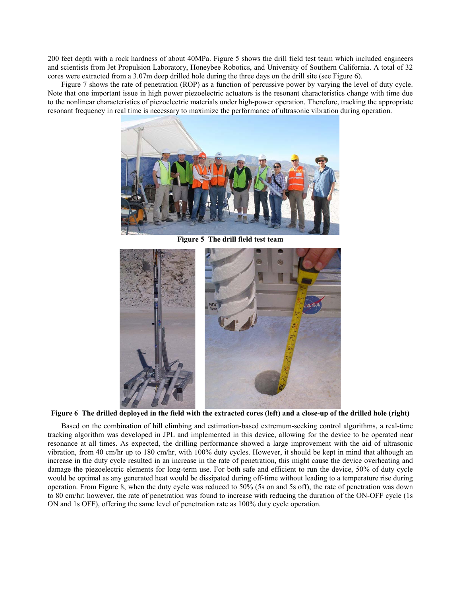200 feet depth with a rock hardness of about 40MPa. Figure 5 shows the drill field test team which included engineers and scientists from Jet Propulsion Laboratory, Honeybee Robotics, and University of Southern California. A total of 32 cores were extracted from a 3.07m deep drilled hole during the three days on the drill site (see Figure 6).

Figure 7 shows the rate of penetration (ROP) as a function of percussive power by varying the level of duty cycle. Note that one important issue in high power piezoelectric actuators is the resonant characteristics change with time due to the nonlinear characteristics of piezoelectric materials under high-power operation. Therefore, tracking the appropriate resonant frequency in real time is necessary to maximize the performance of ultrasonic vibration during operation.



 **Figure 5 The drill field test team**



**Figure 6 The drilled deployed in the field with the extracted cores (left) and a close-up of the drilled hole (right)**

Based on the combination of hill climbing and estimation-based extremum-seeking control algorithms, a real-time tracking algorithm was developed in JPL and implemented in this device, allowing for the device to be operated near resonance at all times. As expected, the drilling performance showed a large improvement with the aid of ultrasonic vibration, from 40 cm/hr up to 180 cm/hr, with 100% duty cycles. However, it should be kept in mind that although an increase in the duty cycle resulted in an increase in the rate of penetration, this might cause the device overheating and damage the piezoelectric elements for long-term use. For both safe and efficient to run the device, 50% of duty cycle would be optimal as any generated heat would be dissipated during off-time without leading to a temperature rise during operation. From Figure 8, when the duty cycle was reduced to 50% (5s on and 5s off), the rate of penetration was down to 80 cm/hr; however, the rate of penetration was found to increase with reducing the duration of the ON-OFF cycle (1s ON and 1s OFF), offering the same level of penetration rate as 100% duty cycle operation.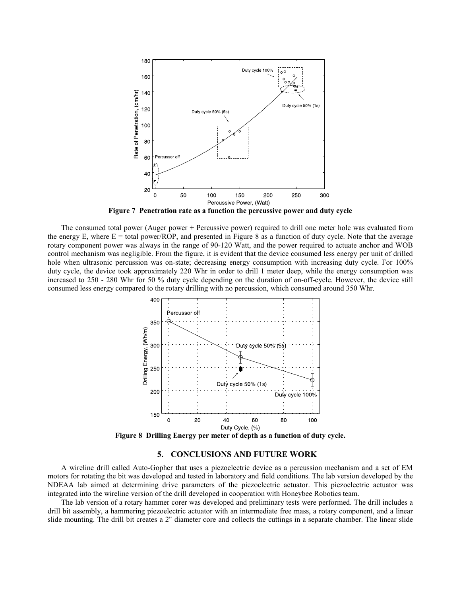

**Figure 7 Penetration rate as a function the percussive power and duty cycle**

The consumed total power (Auger power + Percussive power) required to drill one meter hole was evaluated from the energy E, where  $E =$  total power/ROP, and presented in Figure 8 as a function of duty cycle. Note that the average rotary component power was always in the range of 90-120 Watt, and the power required to actuate anchor and WOB control mechanism was negligible. From the figure, it is evident that the device consumed less energy per unit of drilled hole when ultrasonic percussion was on-state; decreasing energy consumption with increasing duty cycle. For 100% duty cycle, the device took approximately 220 Whr in order to drill 1 meter deep, while the energy consumption was increased to 250 - 280 Whr for 50 % duty cycle depending on the duration of on-off-cycle. However, the device still consumed less energy compared to the rotary drilling with no percussion, which consumed around 350 Whr.



**Figure 8 Drilling Energy per meter of depth as a function of duty cycle.**

## **5. CONCLUSIONS AND FUTURE WORK**

A wireline drill called Auto-Gopher that uses a piezoelectric device as a percussion mechanism and a set of EM motors for rotating the bit was developed and tested in laboratory and field conditions. The lab version developed by the NDEAA lab aimed at determining drive parameters of the piezoelectric actuator. This piezoelectric actuator was integrated into the wireline version of the drill developed in cooperation with Honeybee Robotics team.

The lab version of a rotary hammer corer was developed and preliminary tests were performed. The drill includes a drill bit assembly, a hammering piezoelectric actuator with an intermediate free mass, a rotary component, and a linear slide mounting. The drill bit creates a 2" diameter core and collects the cuttings in a separate chamber. The linear slide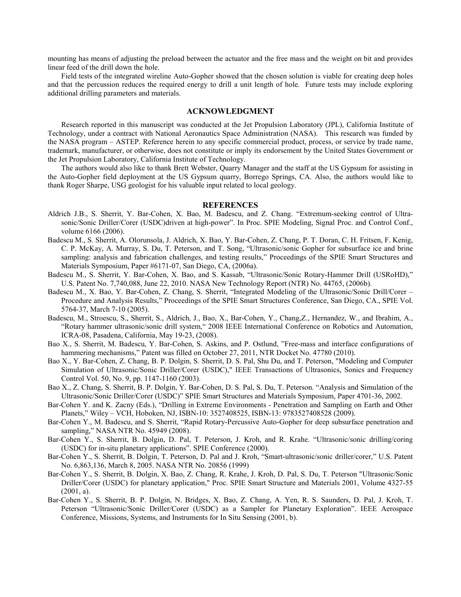mounting has means of adjusting the preload between the actuator and the free mass and the weight on bit and provides linear feed of the drill down the hole.

Field tests of the integrated wireline Auto-Gopher showed that the chosen solution is viable for creating deep holes and that the percussion reduces the required energy to drill a unit length of hole. Future tests may include exploring additional drilling parameters and materials.

# **ACKNOWLEDGMENT**

Research reported in this manuscript was conducted at the Jet Propulsion Laboratory (JPL), California Institute of Technology, under a contract with National Aeronautics Space Administration (NASA). This research was funded by the NASA program – ASTEP. Reference herein to any specific commercial product, process, or service by trade name, trademark, manufacturer, or otherwise, does not constitute or imply its endorsement by the United States Government or the Jet Propulsion Laboratory, California Institute of Technology.

The authors would also like to thank Brett Webster, Quarry Manager and the staff at the US Gypsum for assisting in the Auto-Gopher field deployment at the US Gypsum quarry, Borrego Springs, CA. Also, the authors would like to thank Roger Sharpe, USG geologist for his valuable input related to local geology.

#### **REFERENCES**

- Aldrich J.B., S. Sherrit, Y. Bar-Cohen, X. Bao, M. Badescu, and Z. Chang. "Extremum-seeking control of Ultrasonic/Sonic Driller/Corer (USDC)driven at high-power". In Proc. SPIE Modeling, Signal Proc. and Control Conf., volume 6166 (2006).
- Badescu M., S. Sherrit, A. Olorunsola, J. Aldrich, X. Bao, Y. Bar-Cohen, Z. Chang, P. T. Doran, C. H. Fritsen, F. Kenig, C. P. McKay, A. Murray, S. Du, T. Peterson, and T. Song, "Ultrasonic/sonic Gopher for subsurface ice and brine sampling: analysis and fabrication challenges, and testing results," Proceedings of the SPIE Smart Structures and Materials Symposium, Paper #6171-07, San Diego, CA, (2006a).
- Badescu M., S. Sherrit, Y. Bar-Cohen, X. Bao, and S. Kassab, "Ultrasonic/Sonic Rotary-Hammer Drill (USRoHD)," U.S. Patent No. 7,740,088, June 22, 2010. NASA New Technology Report (NTR) No. 44765, (2006b).
- Badescu M., X. Bao, Y. Bar-Cohen, Z. Chang, S. Sherrit, "Integrated Modeling of the Ultrasonic/Sonic Drill/Corer Procedure and Analysis Results," Proceedings of the SPIE Smart Structures Conference, San Diego, CA., SPIE Vol. 5764-37, March 7-10 (2005).
- Badescu, M., Stroescu, S., Sherrit, S., Aldrich, J., Bao, X., Bar-Cohen, Y., Chang,Z., Hernandez, W., and Ibrahim, A., "Rotary hammer ultrasonic/sonic drill system," 2008 IEEE International Conference on Robotics and Automation, ICRA-08, Pasadena, California, May 19-23, (2008).
- Bao X., S. Sherrit, M. Badescu, Y. Bar-Cohen, S. Askins, and P. Ostlund, "Free-mass and interface configurations of hammering mechanisms," Patent was filled on October 27, 2011, NTR Docket No. 47780 (2010).
- Bao X., Y. Bar-Cohen, Z. Chang, B. P. Dolgin, S. Sherrit, D. S. Pal, Shu Du, and T. Peterson, "Modeling and Computer Simulation of Ultrasonic/Sonic Driller/Corer (USDC)," IEEE Transactions of Ultrasonics, Sonics and Frequency Control Vol. 50, No. 9, pp. 1147-1160 (2003).
- Bao X., Z. Chang, S. Sherrit, B. P. Dolgin, Y. Bar-Cohen, D. S. Pal, S. Du, T. Peterson. "Analysis and Simulation of the Ultrasonic/Sonic Driller/Corer (USDC)" SPIE Smart Structures and Materials Symposium, Paper 4701-36, 2002.
- Bar-Cohen Y. and K. Zacny (Eds.), "Drilling in Extreme Environments Penetration and Sampling on Earth and Other Planets," Wiley – VCH, Hoboken, NJ, ISBN-10: 3527408525, ISBN-13: 9783527408528 (2009).
- Bar-Cohen Y., M. Badescu, and S. Sherrit, "Rapid Rotary-Percussive Auto-Gopher for deep subsurface penetration and sampling," NASA NTR No. 45949 (2008).
- Bar-Cohen Y., S. Sherrit, B. Dolgin, D. Pal, T. Peterson, J. Kroh, and R. Krahe. "Ultrasonic/sonic drilling/coring (USDC) for in-situ planetary applications". SPIE Conference (2000).
- Bar-Cohen Y., S. Sherrit, B. Dolgin, T. Peterson, D. Pal and J. Kroh, "Smart-ultrasonic/sonic driller/corer," U.S. Patent No. 6,863,136, March 8, 2005. NASA NTR No. 20856 (1999)
- Bar-Cohen Y., S. Sherrit, B. Dolgin, X. Bao, Z. Chang, R. Krahe, J. Kroh, D. Pal, S. Du, T. Peterson "Ultrasonic/Sonic Driller/Corer (USDC) for planetary application," Proc. SPIE Smart Structure and Materials 2001, Volume 4327-55  $(2001, a)$ .
- Bar-Cohen Y., S. Sherrit, B. P. Dolgin, N. Bridges, X. Bao, Z. Chang, A. Yen, R. S. Saunders, D. Pal, J. Kroh, T. Peterson "Ultrasonic/Sonic Driller/Corer (USDC) as a Sampler for Planetary Exploration". IEEE Aerospace Conference, Missions, Systems, and Instruments for In Situ Sensing (2001, b).